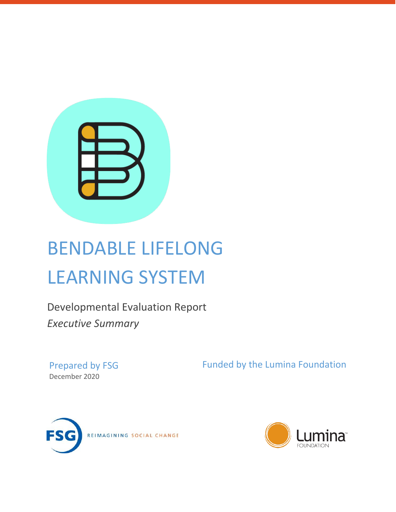

# BENDABLE LIFELONG LEARNING SYSTEM

Developmental Evaluation Report *Executive Summary*

Prepared by FSG December 2020

Funded by the Lumina Foundation



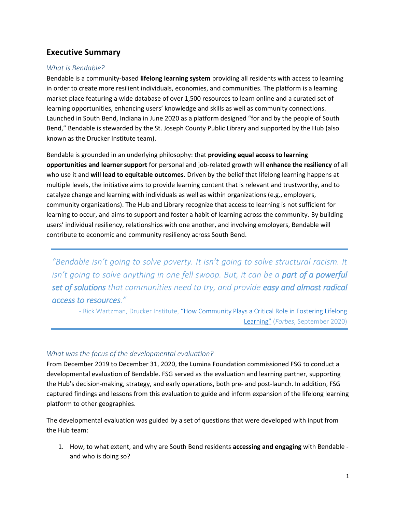## **Executive Summary**

#### *What is Bendable?*

Bendable is a community-based **lifelong learning system** providing all residents with access to learning in order to create more resilient individuals, economies, and communities. The platform is a learning market place featuring a wide database of over 1,500 resources to learn online and a curated set of learning opportunities, enhancing users' knowledge and skills as well as community connections. Launched in South Bend, Indiana in June 2020 as a platform designed "for and by the people of South Bend," Bendable is stewarded by the St. Joseph County Public Library and supported by the Hub (also known as the Drucker Institute team).

Bendable is grounded in an underlying philosophy: that **providing equal access to learning opportunities and learner support** for personal and job-related growth will **enhance the resiliency** of all who use it and **will lead to equitable outcomes**. Driven by the belief that lifelong learning happens at multiple levels, the initiative aims to provide learning content that is relevant and trustworthy, and to catalyze change and learning with individuals as well as within organizations (e.g., employers, community organizations). The Hub and Library recognize that access to learning is not sufficient for learning to occur, and aims to support and foster a habit of learning across the community. By building users' individual resiliency, relationships with one another, and involving employers, Bendable will contribute to economic and community resiliency across South Bend.

*"Bendable isn't going to solve poverty. It isn't going to solve structural racism. It isn't going to solve anything in one fell swoop. But, it can be a part of a powerful set of solutions that communities need to try, and provide easy and almost radical access to resources."*

- Rick Wartzman, Drucker Institute, ["How Community Plays a Critical Role in Fostering Lifelong](https://www.forbes.com/sites/anantagarwal/2020/09/08/how-community-plays-a-critical-role-in-fostering-lifelong-learning/?sh=5b08ff2961bb)  [Learning"](https://www.forbes.com/sites/anantagarwal/2020/09/08/how-community-plays-a-critical-role-in-fostering-lifelong-learning/?sh=5b08ff2961bb) (*Forbes*, September 2020)

#### *What was the focus of the developmental evaluation?*

From December 2019 to December 31, 2020, the Lumina Foundation commissioned FSG to conduct a developmental evaluation of Bendable. FSG served as the evaluation and learning partner, supporting the Hub's decision-making, strategy, and early operations, both pre- and post-launch. In addition, FSG captured findings and lessons from this evaluation to guide and inform expansion of the lifelong learning platform to other geographies.

The developmental evaluation was guided by a set of questions that were developed with input from the Hub team:

1. How, to what extent, and why are South Bend residents **accessing and engaging** with Bendable and who is doing so?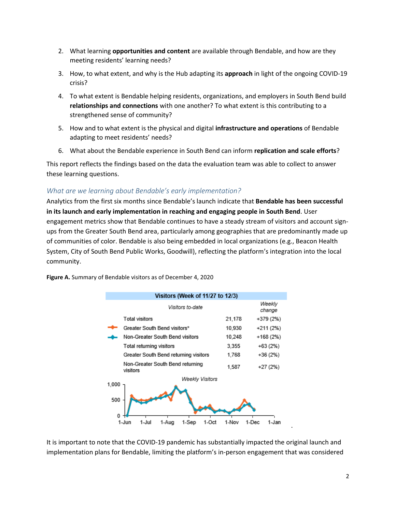- 2. What learning **opportunities and content** are available through Bendable, and how are they meeting residents' learning needs?
- 3. How, to what extent, and why is the Hub adapting its **approach** in light of the ongoing COVID-19 crisis?
- 4. To what extent is Bendable helping residents, organizations, and employers in South Bend build **relationships and connections** with one another? To what extent is this contributing to a strengthened sense of community?
- 5. How and to what extent is the physical and digital **infrastructure and operations** of Bendable adapting to meet residents' needs?
- 6. What about the Bendable experience in South Bend can inform **replication and scale efforts**?

This report reflects the findings based on the data the evaluation team was able to collect to answer these learning questions.

### *What are we learning about Bendable's early implementation?*

Analytics from the first six months since Bendable's launch indicate that **Bendable has been successful in its launch and early implementation in reaching and engaging people in South Bend**. User engagement metrics show that Bendable continues to have a steady stream of visitors and account signups from the Greater South Bend area, particularly among geographies that are predominantly made up of communities of color. Bendable is also being embedded in local organizations (e.g., Beacon Health System, City of South Bend Public Works, Goodwill), reflecting the platform's integration into the local community.



**Figure A.** Summary of Bendable visitors as of December 4, 2020

It is important to note that the COVID-19 pandemic has substantially impacted the original launch and implementation plans for Bendable, limiting the platform's in-person engagement that was considered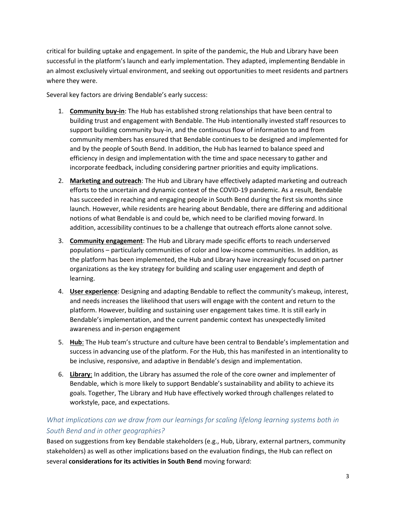critical for building uptake and engagement. In spite of the pandemic, the Hub and Library have been successful in the platform's launch and early implementation. They adapted, implementing Bendable in an almost exclusively virtual environment, and seeking out opportunities to meet residents and partners where they were.

Several key factors are driving Bendable's early success:

- 1. **Community buy-in**: The Hub has established strong relationships that have been central to building trust and engagement with Bendable. The Hub intentionally invested staff resources to support building community buy-in, and the continuous flow of information to and from community members has ensured that Bendable continues to be designed and implemented for and by the people of South Bend. In addition, the Hub has learned to balance speed and efficiency in design and implementation with the time and space necessary to gather and incorporate feedback, including considering partner priorities and equity implications.
- 2. **Marketing and outreach**: The Hub and Library have effectively adapted marketing and outreach efforts to the uncertain and dynamic context of the COVID-19 pandemic. As a result, Bendable has succeeded in reaching and engaging people in South Bend during the first six months since launch. However, while residents are hearing about Bendable, there are differing and additional notions of what Bendable is and could be, which need to be clarified moving forward. In addition, accessibility continues to be a challenge that outreach efforts alone cannot solve.
- 3. **Community engagement**: The Hub and Library made specific efforts to reach underserved populations – particularly communities of color and low-income communities. In addition, as the platform has been implemented, the Hub and Library have increasingly focused on partner organizations as the key strategy for building and scaling user engagement and depth of learning.
- 4. **User experience**: Designing and adapting Bendable to reflect the community's makeup, interest, and needs increases the likelihood that users will engage with the content and return to the platform. However, building and sustaining user engagement takes time. It is still early in Bendable's implementation, and the current pandemic context has unexpectedly limited awareness and in-person engagement
- 5. **Hub**: The Hub team's structure and culture have been central to Bendable's implementation and success in advancing use of the platform. For the Hub, this has manifested in an intentionality to be inclusive, responsive, and adaptive in Bendable's design and implementation.
- 6. **Library**: In addition, the Library has assumed the role of the core owner and implementer of Bendable, which is more likely to support Bendable's sustainability and ability to achieve its goals. Together, The Library and Hub have effectively worked through challenges related to workstyle, pace, and expectations.

## *What implications can we draw from our learnings for scaling lifelong learning systems both in South Bend and in other geographies?*

Based on suggestions from key Bendable stakeholders (e.g., Hub, Library, external partners, community stakeholders) as well as other implications based on the evaluation findings, the Hub can reflect on several **considerations for its activities in South Bend** moving forward: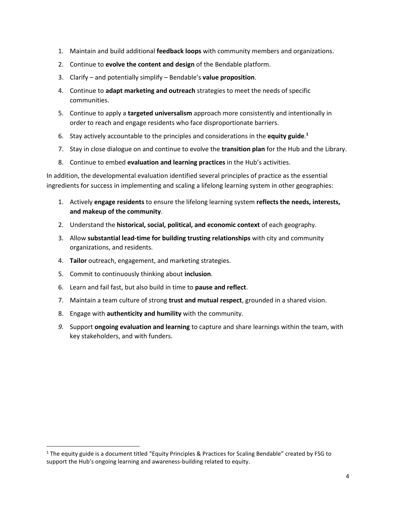- 1. Maintain and build additional **feedback loops** with community members and organizations.
- 2. Continue to **evolve the content and design** of the Bendable platform.
- 3. Clarify and potentially simplify Bendable's **value proposition**.
- 4. Continue to **adapt marketing and outreach** strategies to meet the needs of specific communities.
- 5. Continue to apply a **targeted universalism** approach more consistently and intentionally in order to reach and engage residents who face disproportionate barriers.
- 6. Stay actively accountable to the principles and considerations in the **equity guide**. **1**
- 7. Stay in close dialogue on and continue to evolve the **transition plan** for the Hub and the Library.
- 8. Continue to embed **evaluation and learning practices** in the Hub's activities.

In addition, the developmental evaluation identified several principles of practice as the essential ingredients for success in implementing and scaling a lifelong learning system in other geographies:

- 1. Actively **engage residents** to ensure the lifelong learning system **reflects the needs, interests, and makeup of the community**.
- 2. Understand the **historical, social, political, and economic context** of each geography.
- 3. Allow **substantial lead-time for building trusting relationships** with city and community organizations, and residents.
- 4. **Tailor** outreach, engagement, and marketing strategies.
- 5. Commit to continuously thinking about **inclusion**.

 $\overline{\phantom{a}}$ 

- 6. Learn and fail fast, but also build in time to **pause and reflect**.
- 7. Maintain a team culture of strong **trust and mutual respect**, grounded in a shared vision.
- 8. Engage with **authenticity and humility** with the community.
- *9.* Support **ongoing evaluation and learning** to capture and share learnings within the team, with key stakeholders, and with funders.

 $1$  The equity guide is a document titled "Equity Principles & Practices for Scaling Bendable" created by FSG to support the Hub's ongoing learning and awareness-building related to equity.